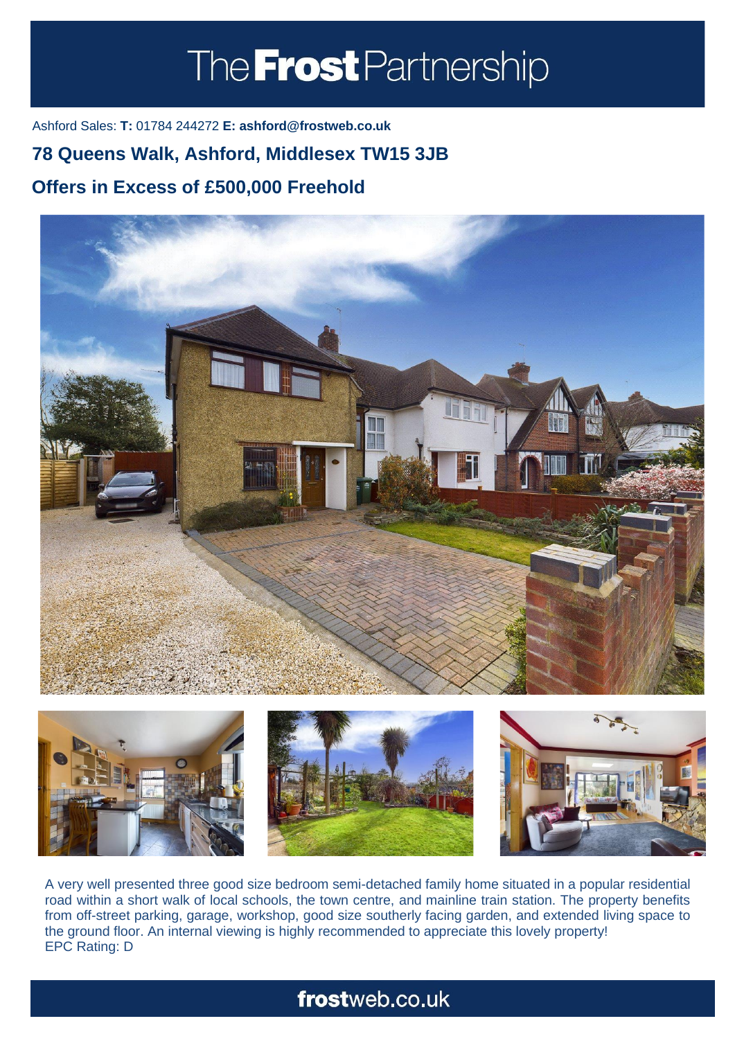# The **Frost** Partnership

Ashford Sales: **T:** 01784 244272 **E: ashford@frostweb.co.uk**

### **78 Queens Walk, Ashford, Middlesex TW15 3JB**

### **Offers in Excess of £500,000 Freehold (Property.Lettings.RentQual == "PA" ? "Rent on application" : PROPERTY.** PROPERTY IS NOT THE RENT TO THE RENT THE RENT OF THE RENT TO THE RENT OF THE RENT OF THE RENT OF THE RE





A very well presented three good size bedroom semi-detached family home situated in a popular residential road within a short walk of local schools, the town centre, and mainline train station. The property benefits from off-street parking, garage, workshop, good size southerly facing garden, and extended living space to the ground floor. An internal viewing is highly recommended to appreciate this lovely property! EPC Rating: D

## frostweb.co.uk